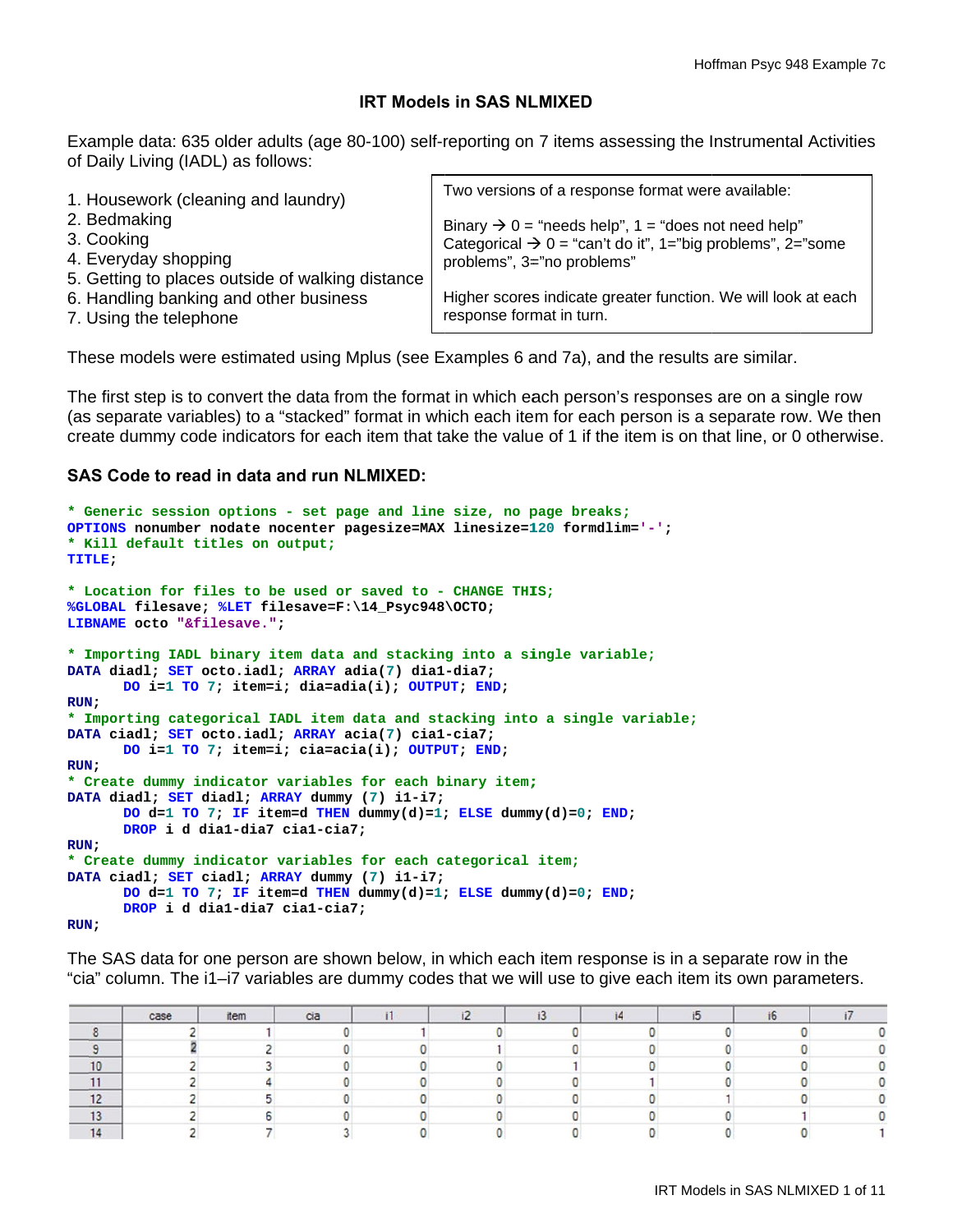# **IRT Models in SAS NLMIXED**

Example data: 635 older adults (age 80-100) self-reporting on 7 items assessing the Instrumental Activities of Daily Living (IADL) as follows:

| 1. Housework (cleaning and laundry)              | Two versions of a response format were available:                      |
|--------------------------------------------------|------------------------------------------------------------------------|
| 2. Bedmaking                                     | Binary $\rightarrow$ 0 = "needs help", 1 = "does not need help"        |
| 3. Cooking                                       | Categorical $\rightarrow 0$ = "can't do it", 1="big problems", 2="some |
| 4. Everyday shopping                             | problems", 3="no problems"                                             |
| 5. Getting to places outside of walking distance |                                                                        |
| 6. Handling banking and other business           | Higher scores indicate greater function. We will look at each          |
| 7. Using the telephone                           | response format in turn.                                               |

These models were estimated using Mplus (see Examples 6 and 7a), and the results are similar.

The first step is to convert the data from the format in which each person's responses are on a single row (as separate variables) to a "stacked" format in which each item for each person is a separate row. We then create dummy code indicators for each item that take the value of 1 if the item is on that line, or 0 otherwise.

# **SAS Code to read in data and run NLMIXED:**

```
* Generic session options - set page and line size, no page breaks;
OPTIONS nonumber nodate nocenter pagesize=MAX linesize=120 formdlim='-';
* Kill default titles on output;
TITLE;
* Location for files to be used or saved to - CHANGE THIS;
%GLOBAL filesave; %LET filesave=F:\14_Psyc948\OCTO;
LIBNAME octo "&filesave.";
* Importing IADL binary item data and stacking into a single variable;
DATA diadl; SET octo.iadl; ARRAY adia(7) dial-dia7;
      DO i=1 TO 7; item=i; dia=adia(i); OUTPUT; END;
RUN;* Importing categorical IADL item data and stacking into a single variable;
DATA ciadl; SET octo.iadl; ARRAY acia(7) cial-cia7;
      DO i=1 TO 7; item=i; cia=acia(i); OUTPUT; END;
RUN;* Create dummy indicator variables for each binary item;
DATA diadl; SET diadl; ARRAY dummy (7) i1-i7;
      DO d=1 TO 7; IF item=d THEN dummy(d)=1; ELSE dummy(d)=0; END;
      DROP i d dia1-dia7 cia1-cia7;
RUN:* Create dummy indicator variables for each categorical item;
DATA ciadl; SET ciadl; ARRAY dummy (7) i1-i7;
      DO d=1 TO 7; IF item=d THEN dummy(d)=1; ELSE dummy(d)=0; END;
      DROP i d dia1-dia7 cia1-cia7;
RUN;
```
The SAS data for one person are shown below, in which each item response is in a separate row in the "cia" column. The i1-i7 variables are dummy codes that we will use to give each item its own parameters.

|                               | case | item | cia |  |  |  |  |
|-------------------------------|------|------|-----|--|--|--|--|
|                               |      |      |     |  |  |  |  |
|                               |      |      |     |  |  |  |  |
| 10                            |      |      |     |  |  |  |  |
|                               |      |      |     |  |  |  |  |
| $\rightarrow$<br>$\mathbf{z}$ |      |      |     |  |  |  |  |
| $\ddot{\phantom{1}}$<br>10    |      |      |     |  |  |  |  |
| $\overline{1}$                |      |      |     |  |  |  |  |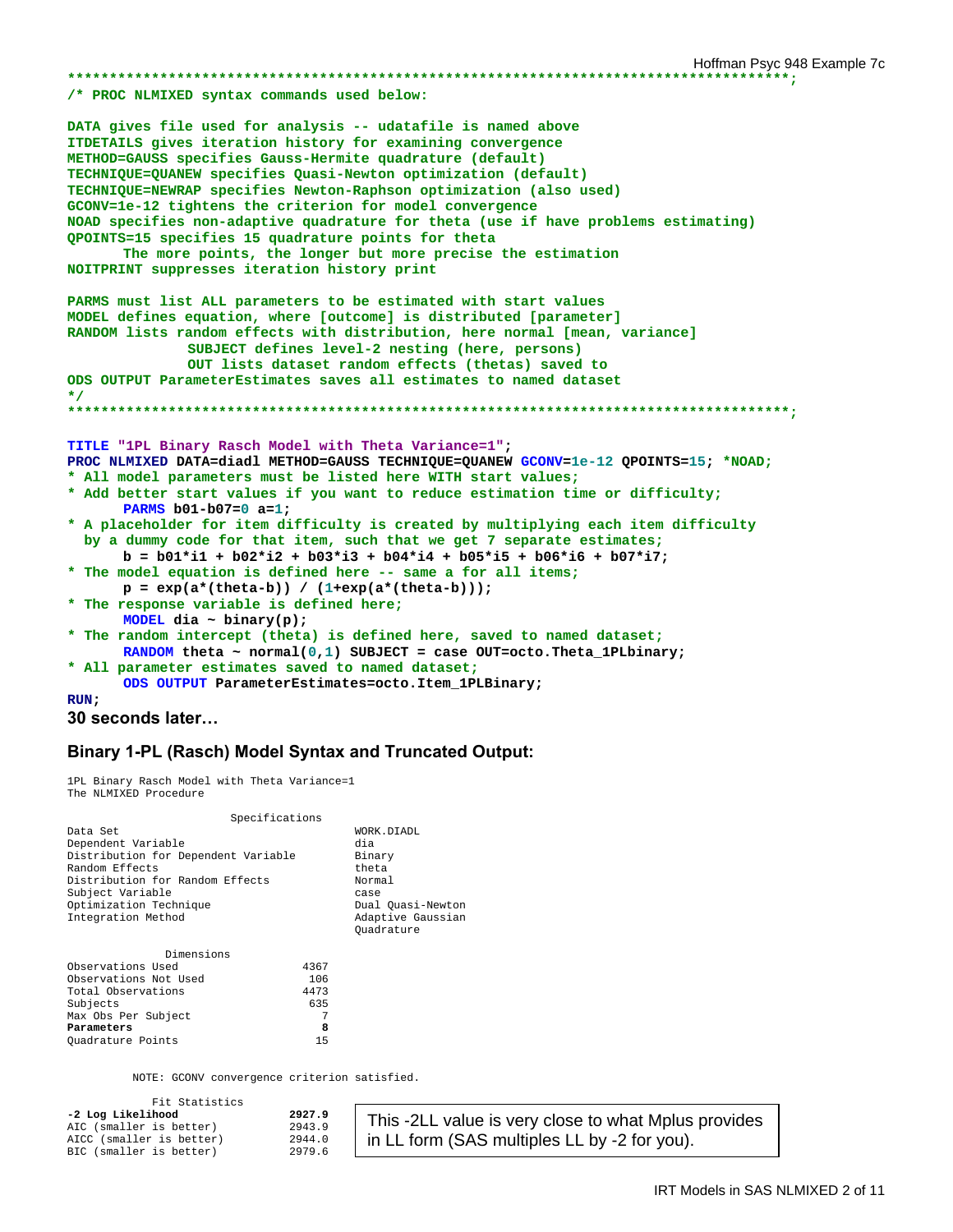/\* PROC NLMIXED syntax commands used below:

DATA gives file used for analysis -- udatafile is named above ITDETAILS gives iteration history for examining convergence METHOD=GAUSS specifies Gauss-Hermite quadrature (default) TECHNIQUE=QUANEW specifies Quasi-Newton optimization (default) TECHNIQUE=NEWRAP specifies Newton-Raphson optimization (also used) GCONV=1e-12 tightens the criterion for model convergence NOAD specifies non-adaptive quadrature for theta (use if have problems estimating) QPOINTS=15 specifies 15 quadrature points for theta The more points, the longer but more precise the estimation NOITPRINT suppresses iteration history print PARMS must list ALL parameters to be estimated with start values MODEL defines equation, where [outcome] is distributed [parameter] RANDOM lists random effects with distribution, here normal [mean, variance] SUBJECT defines level-2 nesting (here, persons) OUT lists dataset random effects (thetas) saved to ODS OUTPUT ParameterEstimates saves all estimates to named dataset  $\star$  / TITLE "1PL Binary Rasch Model with Theta Variance=1"; PROC NLMIXED DATA=diadl METHOD=GAUSS TECHNIQUE=QUANEW GCONV=1e-12 QPOINTS=15; \*NOAD; \* All model parameters must be listed here WITH start values; \* Add better start values if you want to reduce estimation time or difficulty; PARMS  $b01-b07=0$  a=1; \* A placeholder for item difficulty is created by multiplying each item difficulty by a dummy code for that item, such that we get 7 separate estimates;  $b = b01*11 + b02*12 + b03*13 + b04*14 + b05*15 + b06*16 + b07*17;$ \* The model equation is defined here -- same a for all items;  $p = exp(a*(theta-b)) / (1+exp(a*(theta-b)))$ ; \* The response variable is defined here; MODEL dia ~ binary(p); \* The random intercept (theta) is defined here, saved to named dataset; RANDOM theta ~ normal( $0,1$ ) SUBJECT = case OUT=octo. Theta\_1PLbinary; \* All parameter estimates saved to named dataset; ODS OUTPUT ParameterEstimates=octo.Item\_1PLBinary;  $RUN:$ 

```
30 seconds later...
```
# **Binary 1-PL (Rasch) Model Syntax and Truncated Output:**

1PL Binary Rasch Model with Theta Variance=1 The NLMIXED Procedure

| Specifications                                                                                                                                                                                 |      |                                                                                                                |
|------------------------------------------------------------------------------------------------------------------------------------------------------------------------------------------------|------|----------------------------------------------------------------------------------------------------------------|
| Data Set<br>Dependent Variable<br>Distribution for Dependent Variable<br>Random Effects<br>Distribution for Random Effects<br>Subject Variable<br>Optimization Technique<br>Integration Method |      | WORK.DIADL<br>dia<br>Binary<br>theta<br>Normal<br>case<br>Dual Ouasi-Newton<br>Adaptive Gaussian<br>Ouadrature |
| Dimensions                                                                                                                                                                                     |      |                                                                                                                |
| Observations Used                                                                                                                                                                              | 4367 |                                                                                                                |
| Observations Not Used                                                                                                                                                                          | 106  |                                                                                                                |
| Total Observations                                                                                                                                                                             | 4473 |                                                                                                                |
| Subjects                                                                                                                                                                                       | 635  |                                                                                                                |
| Max Obs Per Subject                                                                                                                                                                            | 7    |                                                                                                                |

NOTE: GCONV convergence criterion satisfied.

8

 $15$ 

| Fit Statistics           |        |
|--------------------------|--------|
| -2 Log Likelihood        | 2927.9 |
| AIC (smaller is better)  | 2943.9 |
| AICC (smaller is better) | 2944.0 |
| BIC (smaller is better)  | 2979.6 |

Parameters

Quadrature Points

This -2LL value is very close to what Mplus provides in LL form (SAS multiples LL by -2 for you).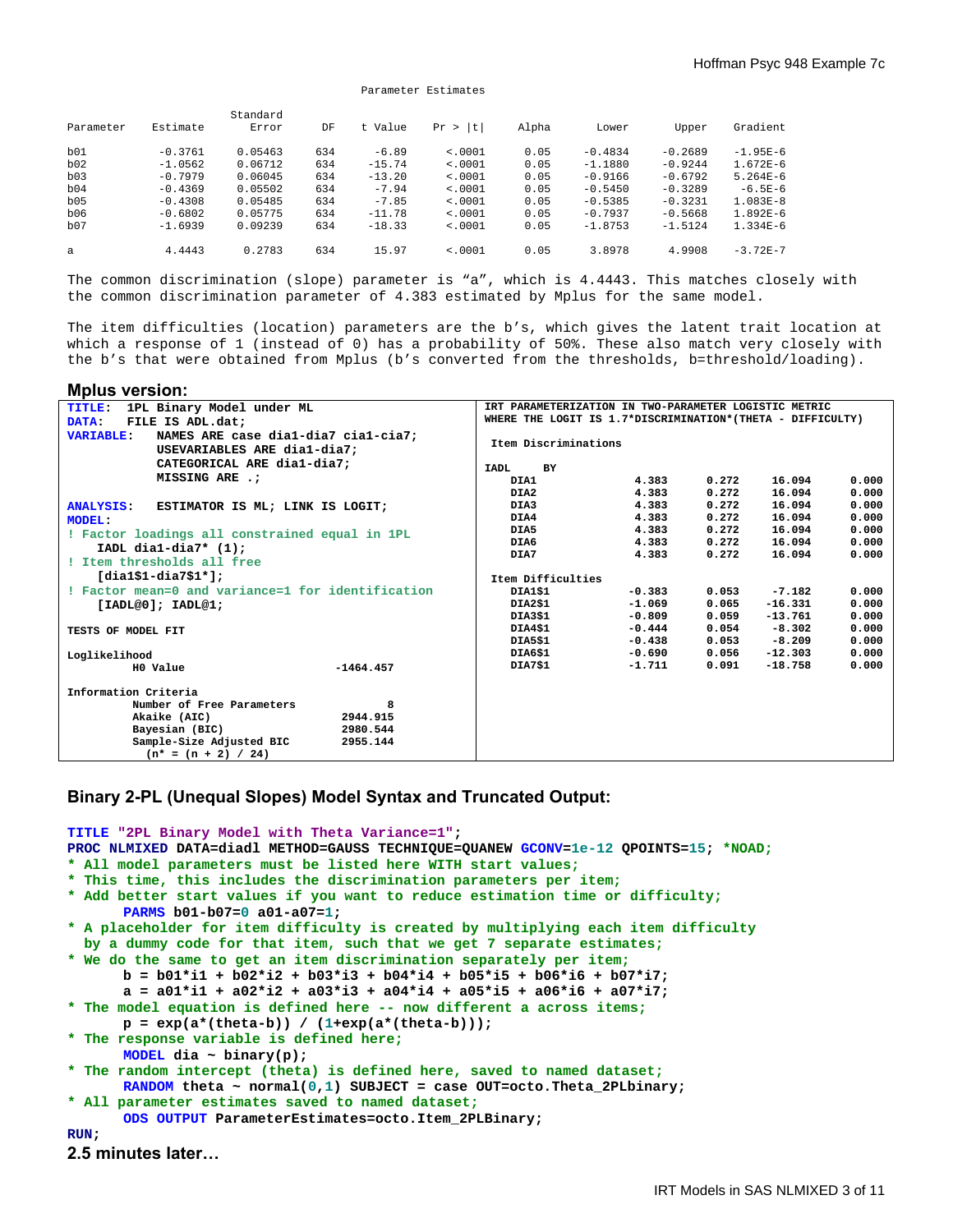|           |           | Standard |     |          |             |       |           |           |             |
|-----------|-----------|----------|-----|----------|-------------|-------|-----------|-----------|-------------|
| Parameter | Estimate  | Error    | DF  | t Value  | Pr ><br>l t | Alpha | Lower     | Upper     | Gradient    |
| b01       | $-0.3761$ | 0.05463  | 634 | $-6.89$  | < .0001     | 0.05  | $-0.4834$ | $-0.2689$ | $-1.95E-6$  |
| b02       | $-1.0562$ | 0.06712  | 634 | $-15.74$ | < .0001     | 0.05  | $-1.1880$ | $-0.9244$ | $1.672E-6$  |
| b03       | $-0.7979$ | 0.06045  | 634 | $-13.20$ | < .0001     | 0.05  | $-0.9166$ | $-0.6792$ | $5.264E-6$  |
| b04       | $-0.4369$ | 0.05502  | 634 | $-7.94$  | < .0001     | 0.05  | $-0.5450$ | $-0.3289$ | $-6.5E - 6$ |
| b05       | $-0.4308$ | 0.05485  | 634 | $-7.85$  | < .0001     | 0.05  | $-0.5385$ | $-0.3231$ | $1.083E-8$  |
| b06       | $-0.6802$ | 0.05775  | 634 | $-11.78$ | < .0001     | 0.05  | $-0.7937$ | $-0.5668$ | $1.892E-6$  |
| b07       | $-1.6939$ | 0.09239  | 634 | $-18.33$ | < .0001     | 0.05  | $-1.8753$ | $-1.5124$ | $1.334E-6$  |
| a         | 4.4443    | 0.2783   | 634 | 15.97    | < .0001     | 0.05  | 3.8978    | 4.9908    | $-3.72E-7$  |

The common discrimination (slope) parameter is "a", which is 4.4443. This matches closely with the common discrimination parameter of 4.383 estimated by Mplus for the same model.

The item difficulties (location) parameters are the b's, which gives the latent trait location at which a response of 1 (instead of 0) has a probability of 50%. These also match very closely with the b's that were obtained from Mplus (b's converted from the thresholds, b=threshold/loading).

**Mplus version: TITLE: 1PL Binary Model under ML DATA: FILE IS ADL.dat; VARIABLE: NAMES ARE case dia1-dia7 cia1-cia7; USEVARIABLES ARE dia1-dia7; CATEGORICAL ARE dia1-dia7; MISSING ARE .; ANALYSIS: ESTIMATOR IS ML; LINK IS LOGIT; MODEL: ! Factor loadings all constrained equal in 1PL IADL dia1-dia7\* (1); ! Item thresholds all free [dia1\$1-dia7\$1\*]; ! Factor mean=0 and variance=1 for identification [IADL@0]; IADL@1; TESTS OF MODEL FIT Loglikelihood**   $-1464.457$ **Information Criteria Number of Free Parameters 8 8**<br>**Akaike (AIC)** 2944.915  **Akaike (AIC) 2944.915 Bayesian (BIC) 2980.544**  Sample-Size Adjusted BIC  $(n* = (n + 2) / 24)$ **IRT PARAMETERIZATION IN TWO-PARAMETER LOGISTIC METRIC WHERE THE LOGIT IS 1.7\*DISCRIMINATION\*(THETA - DIFFICULTY) Item Discriminations IADL BY DIA1 4.383 0.272 16.094 0.000 DIA2 4.383 0.272 16.094 0.000 DIA3 4.383 0.272 16.094 0.000 DIA4 4.383 0.272 16.094 0.000 DIA5 4.383 0.272 16.094 0.000 DIA6 4.383 0.272 16.094 0.000 DIA7 4.383 0.272 16.094 0.000 Item Difficulties DIA1\$1 -0.383 0.053 -7.182 0.000 DIA2\$1 -1.069 0.065 -16.331 0.000 DIA3\$1 -0.809 0.059 -13.761 0.000 DIA4\$1 -0.444 0.054 -8.302 0.000 DIA5\$1 -0.438 0.053 -8.209 0.000 DIA6\$1 -0.690 0.056 -12.303 0.000**   $-18.758$ 

### **Binary 2-PL (Unequal Slopes) Model Syntax and Truncated Output:**

**TITLE "2PL Binary Model with Theta Variance=1"; PROC NLMIXED DATA=diadl METHOD=GAUSS TECHNIQUE=QUANEW GCONV=1e-12 QPOINTS=15; \*NOAD; \* All model parameters must be listed here WITH start values; \* This time, this includes the discrimination parameters per item; \* Add better start values if you want to reduce estimation time or difficulty; PARMS b01-b07=0 a01-a07=1; \* A placeholder for item difficulty is created by multiplying each item difficulty by a dummy code for that item, such that we get 7 separate estimates; \* We do the same to get an item discrimination separately per item; b = b01\*i1 + b02\*i2 + b03\*i3 + b04\*i4 + b05\*i5 + b06\*i6 + b07\*i7;**   $a = a01*$ i1 +  $a02*$ i2 +  $a03*$ i3 +  $a04*$ i4 +  $a05*$ i5 +  $a06*$ i6 +  $a07*$ i7; **\* The model equation is defined here -- now different a across items;**  $p = exp(a*(theta-b)) / (1+exp(a*(theta-b)))$ ; **\* The response variable is defined here; MODEL dia ~ binary(p); \* The random intercept (theta) is defined here, saved to named dataset; RANDOM theta ~ normal(0,1) SUBJECT = case OUT=octo.Theta\_2PLbinary; \* All parameter estimates saved to named dataset; ODS OUTPUT ParameterEstimates=octo.Item\_2PLBinary; RUN;** 

```
2.5 minutes later…
```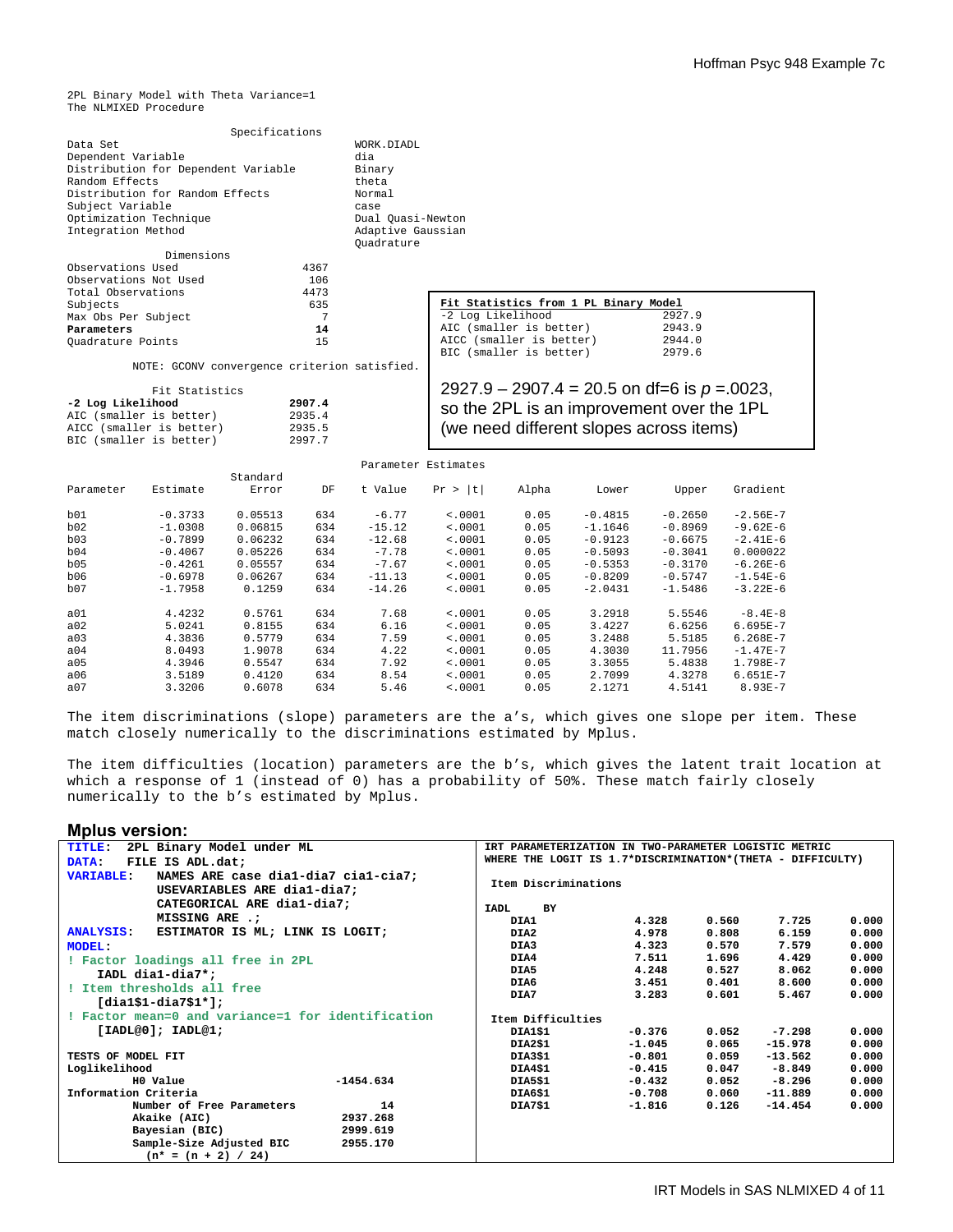2PL Binary Model with Theta Variance=1 The NLMIXED Procedure

| Specifications                      |                   |
|-------------------------------------|-------------------|
| Data Set                            | WORK.DIADL        |
| Dependent Variable                  | dia               |
| Distribution for Dependent Variable | Binary            |
| Random Effects                      | theta             |
| Distribution for Random Effects     | Normal            |
| Subject Variable                    | case              |
| Optimization Technique              | Dual Quasi-Newton |
| Integration Method                  | Adaptive Gaussian |
|                                     | Ouadrature        |
| Dimensions                          |                   |

| Observations Used     | 4367 |
|-----------------------|------|
| Observations Not Used | 106  |
| Total Observations    | 4473 |
| Subjects              | 635  |
| Max Obs Per Subject   |      |
| Parameters            | 14   |
| Quadrature Points     | 15   |

NOTE: GCONV convergence criterion satisfied.

| Fit Statistics           |        |
|--------------------------|--------|
| -2 Log Likelihood        | 2907.4 |
| AIC (smaller is better)  | 2935.4 |
| AICC (smaller is better) | 2935.5 |
| BIC (smaller is better)  | 2997.7 |

Fit Statistics from 1 PL Binary Model<br>-2 Log Likelihood 2927.9 -2 Log Likelihood 2927.9<br>AIC (smaller is better) 2943.9 AIC (smaller is better) 2943.9<br>AICC (smaller is better) 2944.0 AICC (smaller is better) 2944.0<br>BIC (smaller is better) 2979.6 BIC (smaller is better) 2927.9 – 2907.4 = 20.5 on df=6 is *p* =.0023,

so the 2PL is an improvement over the 1PL (we need different slopes across items)

|           |           |          |     |          | Parameter Estimates |       |           |           |              |
|-----------|-----------|----------|-----|----------|---------------------|-------|-----------|-----------|--------------|
|           |           | Standard |     |          |                     |       |           |           |              |
| Parameter | Estimate  | Error    | DF  | t Value  | t <br>Pr >          | Alpha | Lower     | Upper     | Gradient     |
| b01       | $-0.3733$ | 0.05513  | 634 | $-6.77$  | < .0001             | 0.05  | $-0.4815$ | $-0.2650$ | $-2.56E-7$   |
| b02       | $-1.0308$ | 0.06815  | 634 | $-15.12$ | < .0001             | 0.05  | $-1.1646$ | $-0.8969$ | $-9.62E-6$   |
| b03       | $-0.7899$ | 0.06232  | 634 | $-12.68$ | < .0001             | 0.05  | $-0.9123$ | $-0.6675$ | $-2.41E-6$   |
| b04       | $-0.4067$ | 0.05226  | 634 | $-7.78$  | < .0001             | 0.05  | $-0.5093$ | $-0.3041$ | 0.000022     |
| b05       | $-0.4261$ | 0.05557  | 634 | $-7.67$  | < .0001             | 0.05  | $-0.5353$ | $-0.3170$ | $-6.26E-6$   |
| b06       | $-0.6978$ | 0.06267  | 634 | $-11.13$ | < .0001             | 0.05  | $-0.8209$ | $-0.5747$ | $-1.54E-6$   |
| b07       | $-1.7958$ | 0.1259   | 634 | $-14.26$ | < .0001             | 0.05  | $-2.0431$ | $-1.5486$ | $-3.22E-6$   |
| a01       | 4.4232    | 0.5761   | 634 | 7.68     | < .0001             | 0.05  | 3.2918    | 5.5546    | $-8.4E-8$    |
| a02       | 5.0241    | 0.8155   | 634 | 6.16     | < .0001             | 0.05  | 3.4227    | 6.6256    | $6.695E - 7$ |
| a03       | 4.3836    | 0.5779   | 634 | 7.59     | < .0001             | 0.05  | 3.2488    | 5.5185    | $6.268E - 7$ |
| a04       | 8.0493    | 1.9078   | 634 | 4.22     | < .0001             | 0.05  | 4.3030    | 11.7956   | $-1.47E-7$   |
| a05       | 4.3946    | 0.5547   | 634 | 7.92     | < .0001             | 0.05  | 3.3055    | 5.4838    | 1.798E-7     |
| a06       | 3.5189    | 0.4120   | 634 | 8.54     | < .0001             | 0.05  | 2.7099    | 4.3278    | $6.651E - 7$ |
| a07       | 3.3206    | 0.6078   | 634 | 5.46     | < .0001             | 0.05  | 2.1271    | 4.5141    | $8.93E - 7$  |

The item discriminations (slope) parameters are the a's, which gives one slope per item. These match closely numerically to the discriminations estimated by Mplus.

The item difficulties (location) parameters are the b's, which gives the latent trait location at which a response of 1 (instead of 0) has a probability of 50%. These match fairly closely numerically to the b's estimated by Mplus.

#### **Mplus version:**

| 2PL Binary Model under ML<br>IRT PARAMETERIZATION IN TWO-PARAMETER LOGISTIC METRIC<br>TITLE: |             |                      |                                                            |          |       |           |       |  |
|----------------------------------------------------------------------------------------------|-------------|----------------------|------------------------------------------------------------|----------|-------|-----------|-------|--|
| FILE IS ADL.dat;<br>DATA:                                                                    |             |                      | WHERE THE LOGIT IS 1.7*DISCRIMINATION*(THETA - DIFFICULTY) |          |       |           |       |  |
| NAMES ARE case dial-dia7 cial-cia7;<br><b>VARIABLE:</b><br>USEVARIABLES ARE dia1-dia7;       |             | Item Discriminations |                                                            |          |       |           |       |  |
| CATEGORICAL ARE dia1-dia7;                                                                   |             | <b>TADL</b>          | <b>BY</b>                                                  |          |       |           |       |  |
| MISSING ARE .:                                                                               |             | DIA1                 |                                                            | 4.328    | 0.560 | 7.725     | 0.000 |  |
| ESTIMATOR IS ML; LINK IS LOGIT;<br><b>ANALYSIS:</b>                                          |             | DIA2                 |                                                            | 4.978    | 0.808 | 6.159     | 0.000 |  |
| <b>MODEL:</b>                                                                                |             | DIA3                 |                                                            | 4.323    | 0.570 | 7.579     | 0.000 |  |
| ! Factor loadings all free in 2PL                                                            |             | DIA4                 |                                                            | 7.511    | 1.696 | 4.429     | 0.000 |  |
| IADL dia1-dia7*;                                                                             |             | DIA5                 |                                                            | 4.248    | 0.527 | 8.062     | 0.000 |  |
| ! Item thresholds all free                                                                   |             | DIA6                 |                                                            | 3.451    | 0.401 | 8.600     | 0.000 |  |
|                                                                                              |             | DIA7                 |                                                            | 3.283    | 0.601 | 5.467     | 0.000 |  |
| $[dial$1-dia7$1*];$                                                                          |             |                      |                                                            |          |       |           |       |  |
| ! Factor mean=0 and variance=1 for identification                                            |             |                      | Item Difficulties                                          |          |       |           |       |  |
| [IADL@0]; IADL@1;                                                                            |             | DIA1\$1              |                                                            | $-0.376$ | 0.052 | $-7.298$  | 0.000 |  |
|                                                                                              |             | DIA2\$1              |                                                            | $-1.045$ | 0.065 | $-15.978$ | 0.000 |  |
| TESTS OF MODEL FIT                                                                           |             | DIA3\$1              |                                                            | $-0.801$ | 0.059 | $-13.562$ | 0.000 |  |
| Loglikelihood                                                                                |             | DIA4\$1              |                                                            | $-0.415$ | 0.047 | $-8.849$  | 0.000 |  |
| H0 Value                                                                                     | $-1454.634$ | DIA5\$1              |                                                            | $-0.432$ | 0.052 | $-8.296$  | 0.000 |  |
| Information Criteria                                                                         |             | DIA6\$1              |                                                            | $-0.708$ | 0.060 | $-11.889$ | 0.000 |  |
| Number of Free Parameters                                                                    | 14          | DIA7\$1              |                                                            | $-1.816$ | 0.126 | $-14.454$ | 0.000 |  |
| Akaike (AIC)                                                                                 | 2937.268    |                      |                                                            |          |       |           |       |  |
| Bayesian (BIC)                                                                               | 2999.619    |                      |                                                            |          |       |           |       |  |
| Sample-Size Adjusted BIC                                                                     | 2955.170    |                      |                                                            |          |       |           |       |  |
| $(n* = (n + 2) / 24)$                                                                        |             |                      |                                                            |          |       |           |       |  |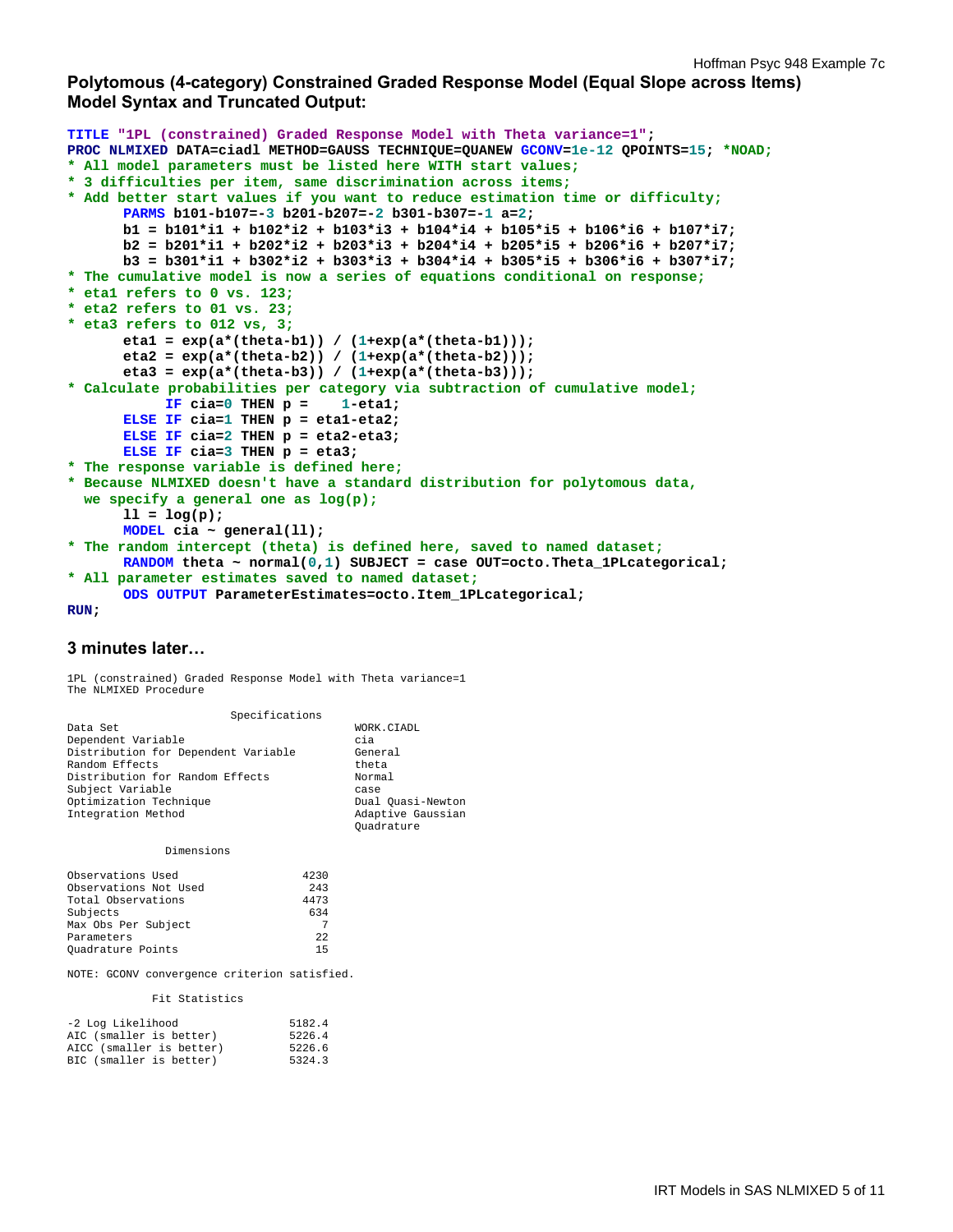# **Polytomous (4-category) Constrained Graded Response Model (Equal Slope across Items) Model Syntax and Truncated Output:**

```
TITLE "1PL (constrained) Graded Response Model with Theta variance=1"; 
PROC NLMIXED DATA=ciadl METHOD=GAUSS TECHNIQUE=QUANEW GCONV=1e-12 QPOINTS=15; *NOAD;
* All model parameters must be listed here WITH start values;
* 3 difficulties per item, same discrimination across items;
* Add better start values if you want to reduce estimation time or difficulty;
      PARMS b101-b107=-3 b201-b207=-2 b301-b307=-1 a=2; 
       b1 = b101*i1 + b102*i2 + b103*i3 + b104*i4 + b105*i5 + b106*i6 + b107*i7; 
       b2 = b201*i1 + b202*i2 + b203*i3 + b204*i4 + b205*i5 + b206*i6 + b207*i7; 
       b3 = b301*i1 + b302*i2 + b303*i3 + b304*i4 + b305*i5 + b306*i6 + b307*i7; 
* The cumulative model is now a series of equations conditional on response;
* eta1 refers to 0 vs. 123;
* eta2 refers to 01 vs. 23;
* eta3 refers to 012 vs, 3;
       eta1 = exp(a*(theta-b1)) / (1+exp(a*(theta-b1))); 
       eta2 = exp(a*(theta-b2)) / (1+exp(a*(theta-b2))); 
       eta3 = exp(a*(theta-b3)) / (1+exp(a*(theta-b3))); 
* Calculate probabilities per category via subtraction of cumulative model;
            IF cia=0 THEN p = 1-eta1; 
      ELSE IF cia=1 THEN p = eta1-eta2; 
      ELSE IF cia=2 THEN p = eta2-eta3; 
      ELSE IF cia=3 THEN p = eta3; 
* The response variable is defined here; 
* Because NLMIXED doesn't have a standard distribution for polytomous data, 
   we specify a general one as log(p);
      11 = \log(p);
      MODEL cia ~ general(ll); 
* The random intercept (theta) is defined here, saved to named dataset;
      RANDOM theta ~ normal(0,1) SUBJECT = case OUT=octo.Theta_1PLcategorical; 
* All parameter estimates saved to named dataset;
      ODS OUTPUT ParameterEstimates=octo.Item_1PLcategorical;
```
#### **RUN;**

## **3 minutes later…**

1PL (constrained) Graded Response Model with Theta variance=1 The NLMIXED Procedure

Specifications

| ppectrications                      |                   |
|-------------------------------------|-------------------|
| Data Set                            | WORK.CIADL        |
| Dependent Variable                  | cia               |
| Distribution for Dependent Variable | General           |
| Random Effects                      | theta             |
| Distribution for Random Effects     | Normal            |
| Subject Variable                    | case              |
| Optimization Technique              | Dual Quasi-Newton |
| Integration Method                  | Adaptive Gaussian |
|                                     | Ouadrature        |

Dimensions

| Observations Used     | 4230 |
|-----------------------|------|
| Observations Not Used | 243  |
| Total Observations    | 4473 |
| Subjects              | 634  |
| Max Obs Per Subject   | 7    |
| Parameters            | 22   |
| Ouadrature Points     | 15   |

NOTE: GCONV convergence criterion satisfied.

#### Fit Statistics

| -2 Log Likelihood        | 5182.4 |
|--------------------------|--------|
| AIC (smaller is better)  | 5226.4 |
| AICC (smaller is better) | 5226.6 |
| BIC (smaller is better)  | 5324.3 |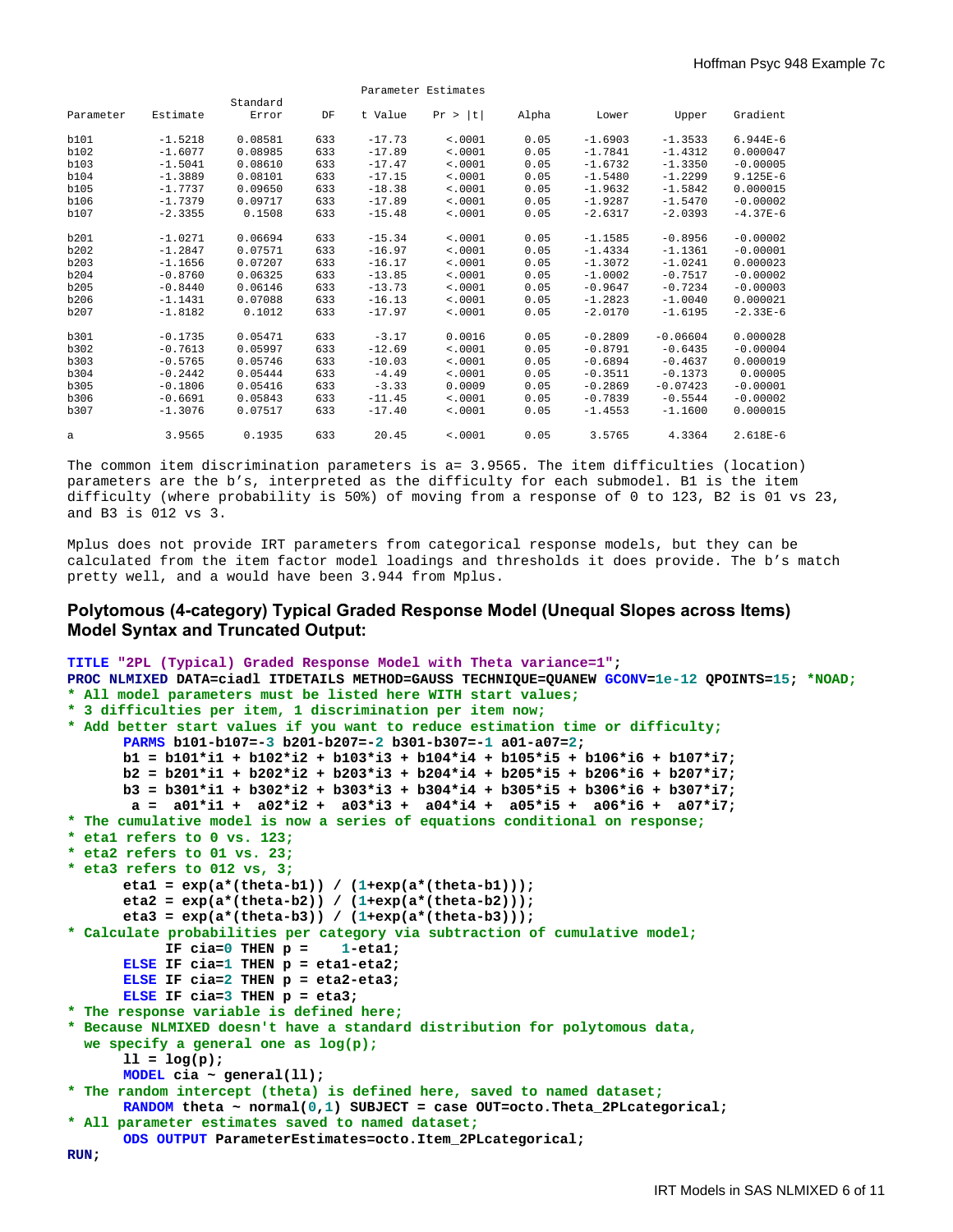| Parameter Estimates |           |                   |     |          |         |       |           |            |            |
|---------------------|-----------|-------------------|-----|----------|---------|-------|-----------|------------|------------|
| Parameter           | Estimate  | Standard<br>Error | DF  | t Value  | Pr >  t | Alpha | Lower     | Upper      | Gradient   |
|                     |           |                   |     |          |         |       |           |            |            |
| b101                | $-1.5218$ | 0.08581           | 633 | $-17.73$ | < .0001 | 0.05  | $-1.6903$ | $-1.3533$  | $6.944E-6$ |
| b102                | $-1.6077$ | 0.08985           | 633 | $-17.89$ | < .0001 | 0.05  | $-1.7841$ | $-1.4312$  | 0.000047   |
| b103                | $-1.5041$ | 0.08610           | 633 | $-17.47$ | < .0001 | 0.05  | $-1.6732$ | $-1.3350$  | $-0.00005$ |
| b104                | $-1.3889$ | 0.08101           | 633 | $-17.15$ | < .0001 | 0.05  | $-1.5480$ | $-1.2299$  | $9.125E-6$ |
| b105                | $-1.7737$ | 0.09650           | 633 | $-18.38$ | < .0001 | 0.05  | $-1.9632$ | $-1.5842$  | 0.000015   |
| b106                | $-1.7379$ | 0.09717           | 633 | $-17.89$ | < .0001 | 0.05  | $-1.9287$ | $-1.5470$  | $-0.00002$ |
| b107                | $-2.3355$ | 0.1508            | 633 | $-15.48$ | < .0001 | 0.05  | $-2.6317$ | $-2.0393$  | $-4.37E-6$ |
| b201                | $-1.0271$ | 0.06694           | 633 | $-15.34$ | < .0001 | 0.05  | $-1.1585$ | $-0.8956$  | $-0.00002$ |
| b202                | $-1.2847$ | 0.07571           | 633 | $-16.97$ | < .0001 | 0.05  | $-1.4334$ | $-1.1361$  | $-0.00001$ |
| b203                | $-1.1656$ | 0.07207           | 633 | $-16.17$ | < .0001 | 0.05  | $-1.3072$ | $-1.0241$  | 0.000023   |
| b204                | $-0.8760$ | 0.06325           | 633 | $-13.85$ | < .0001 | 0.05  | $-1.0002$ | $-0.7517$  | $-0.00002$ |
| b205                | $-0.8440$ | 0.06146           | 633 | $-13.73$ | < .0001 | 0.05  | $-0.9647$ | $-0.7234$  | $-0.00003$ |
| b206                | $-1.1431$ | 0.07088           | 633 | $-16.13$ | < .0001 | 0.05  | $-1.2823$ | $-1.0040$  | 0.000021   |
| b207                | $-1.8182$ | 0.1012            | 633 | $-17.97$ | < .0001 | 0.05  | $-2.0170$ | $-1.6195$  | $-2.33E-6$ |
| b301                | $-0.1735$ | 0.05471           | 633 | $-3.17$  | 0.0016  | 0.05  | $-0.2809$ | $-0.06604$ | 0.000028   |
| b302                | $-0.7613$ | 0.05997           | 633 | $-12.69$ | < .0001 | 0.05  | $-0.8791$ | $-0.6435$  | $-0.00004$ |
| b303                | $-0.5765$ | 0.05746           | 633 | $-10.03$ | < .0001 | 0.05  | $-0.6894$ | $-0.4637$  | 0.000019   |
| b304                | $-0.2442$ | 0.05444           | 633 | $-4.49$  | < .0001 | 0.05  | $-0.3511$ | $-0.1373$  | 0.00005    |
| b305                | $-0.1806$ | 0.05416           | 633 | $-3.33$  | 0.0009  | 0.05  | $-0.2869$ | $-0.07423$ | $-0.00001$ |
| b306                | $-0.6691$ | 0.05843           | 633 | $-11.45$ | < .0001 | 0.05  | $-0.7839$ | $-0.5544$  | $-0.00002$ |
| b307                | $-1.3076$ | 0.07517           | 633 | $-17.40$ | < .0001 | 0.05  | $-1.4553$ | $-1.1600$  | 0.000015   |
| a                   | 3.9565    | 0.1935            | 633 | 20.45    | < .0001 | 0.05  | 3.5765    | 4.3364     | $2.618E-6$ |

The common item discrimination parameters is a= 3.9565. The item difficulties (location) parameters are the b's, interpreted as the difficulty for each submodel. B1 is the item difficulty (where probability is 50%) of moving from a response of 0 to 123, B2 is 01 vs 23, and B3 is 012 vs 3.

Mplus does not provide IRT parameters from categorical response models, but they can be calculated from the item factor model loadings and thresholds it does provide. The b's match pretty well, and a would have been 3.944 from Mplus.

## **Polytomous (4-category) Typical Graded Response Model (Unequal Slopes across Items) Model Syntax and Truncated Output:**

```
TITLE "2PL (Typical) Graded Response Model with Theta variance=1"; 
PROC NLMIXED DATA=ciadl ITDETAILS METHOD=GAUSS TECHNIQUE=QUANEW GCONV=1e-12 QPOINTS=15; *NOAD;
* All model parameters must be listed here WITH start values;
* 3 difficulties per item, 1 discrimination per item now;
* Add better start values if you want to reduce estimation time or difficulty;
       PARMS b101-b107=-3 b201-b207=-2 b301-b307=-1 a01-a07=2; 
       b1 = b101*i1 + b102*i2 + b103*i3 + b104*i4 + b105*i5 + b106*i6 + b107*i7; 
       b2 = b201*i1 + b202*i2 + b203*i3 + b204*i4 + b205*i5 + b206*i6 + b207*i7; 
       b3 = b301*i1 + b302*i2 + b303*i3 + b304*i4 + b305*i5 + b306*i6 + b307*i7; 
       a = a01*11 + a02*12 + a03*13 + a04*14 + a05*15 + a06*16 + a07*17;* The cumulative model is now a series of equations conditional on response;
* eta1 refers to 0 vs. 123;
* eta2 refers to 01 vs. 23;
* eta3 refers to 012 vs, 3;
        eta1 = exp(a*(theta-b1)) / (1+exp(a*(theta-b1))); 
        eta2 = exp(a*(theta-b2)) / (1+exp(a*(theta-b2))); 
        eta3 = exp(a*(theta-b3)) / (1+exp(a*(theta-b3))); 
* Calculate probabilities per category via subtraction of cumulative model;
            IF cia=0 THEN p = 1-eta1; 
      ELSE IF cia=1 THEN p = eta1-eta2; 
      ELSE IF cia=2 THEN p = eta2-eta3; 
      ELSE IF cia=3 THEN p = eta3; 
* The response variable is defined here; 
* Because NLMIXED doesn't have a standard distribution for polytomous data, 
   we specify a general one as log(p);
       11 = \log(p);
      MODEL cia ~ general(ll); 
* The random intercept (theta) is defined here, saved to named dataset;
      RANDOM theta ~ normal(0,1) SUBJECT = case OUT=octo.Theta_2PLcategorical; 
* All parameter estimates saved to named dataset;
      ODS OUTPUT ParameterEstimates=octo.Item_2PLcategorical; 
RUN;
```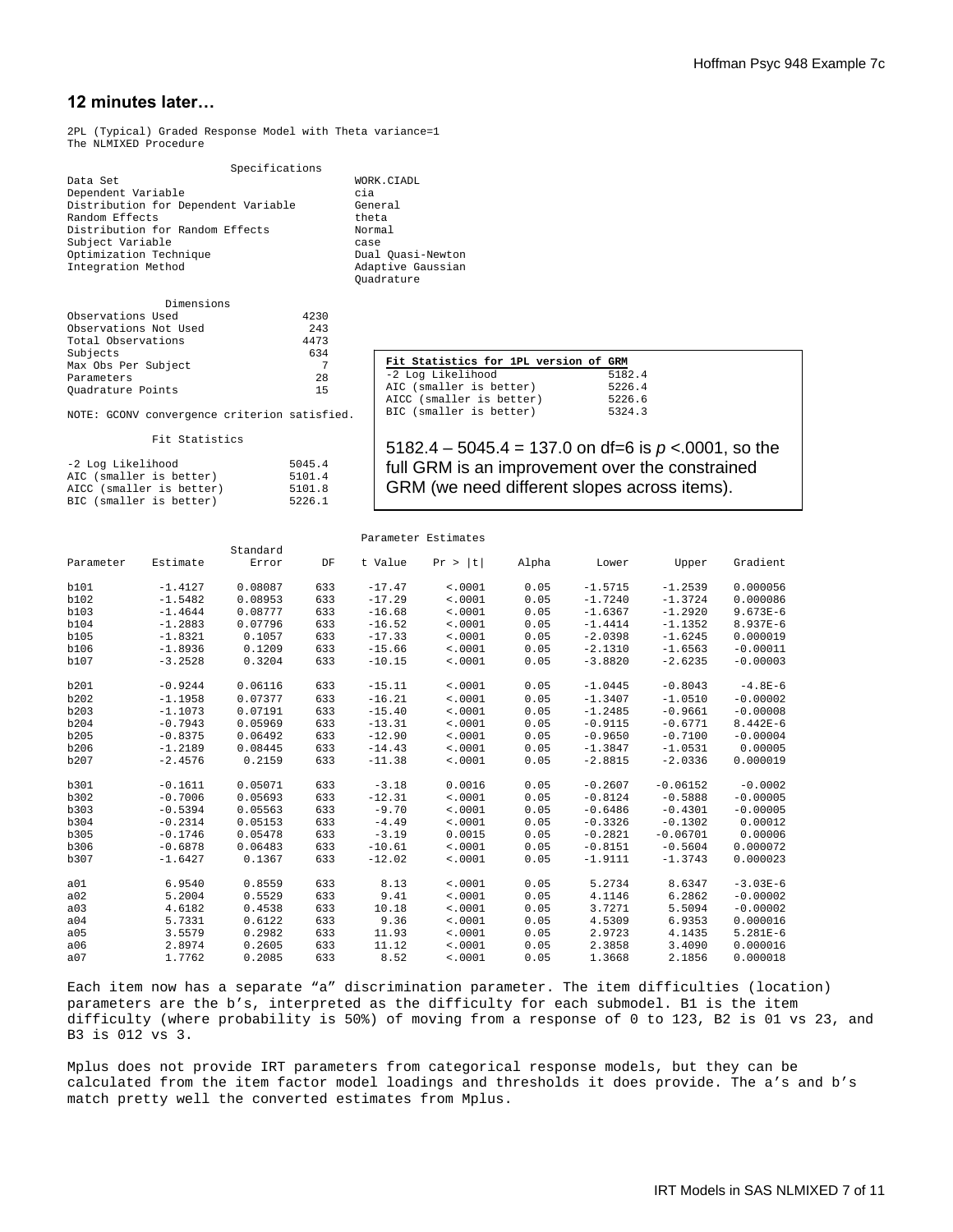# **12 minutes later…**

2PL (Typical) Graded Response Model with Theta variance=1 The NLMIXED Procedure

 Specifications Dependent Variable cia Distribution for Dependent Variable General<br>Random Effects theta Random Effects theta<br>Distribution for Random Effects Normal Distribution for Random Effects Subject Variable<br>
Optimization Technique<br>
Cuasi-Newton Optimization Technique Dual Quasi-Newton Integration Method Adaptive Gaussian Integration Method

| Dimensions            |      |
|-----------------------|------|
| Observations Used     | 4230 |
| Observations Not Used | 243  |
| Total Observations    | 4473 |
| Subjects              | 634  |
| Max Obs Per Subject   |      |
| Parameters            | 28   |
| Quadrature Points     | 1.5  |
|                       |      |

WORK.CIADL<br>cia Quadrature

| Fit Statistics for 1PL version of GRM |
|---------------------------------------|
| 5182.4                                |
| 5226.4                                |
| 5226.6                                |
| 5324.3                                |
|                                       |

NOTE: GCONV convergence criterion satisfied.

Fit Statistics

| -2 Log Likelihood        | 5045.4 |
|--------------------------|--------|
| AIC (smaller is better)  | 5101.4 |
| AICC (smaller is better) | 5101.8 |
| BIC (smaller is better)  | 5226.1 |

| 5182.4 – 5045.4 = 137.0 on df=6 is $p < 0.0001$ , so the |
|----------------------------------------------------------|
| full GRM is an improvement over the constrained          |
| GRM (we need different slopes across items).             |

|           |           |          |     |          | ralametel botimates |       |           |            |              |
|-----------|-----------|----------|-----|----------|---------------------|-------|-----------|------------|--------------|
|           |           | Standard |     |          |                     |       |           |            |              |
| Parameter | Estimate  | Error    | DF  | t Value  | Pr ><br> t          | Alpha | Lower     | Upper      | Gradient     |
| b101      | $-1.4127$ | 0.08087  | 633 | $-17.47$ | < .0001             | 0.05  | $-1.5715$ | $-1.2539$  | 0.000056     |
| b102      | $-1.5482$ | 0.08953  | 633 | $-17.29$ | < .0001             | 0.05  | $-1.7240$ | $-1.3724$  | 0.000086     |
| b103      | $-1.4644$ | 0.08777  | 633 | $-16.68$ | < .0001             | 0.05  | $-1.6367$ | $-1.2920$  | $9.673E-6$   |
| b104      | $-1.2883$ | 0.07796  | 633 | $-16.52$ | < .0001             | 0.05  | $-1.4414$ | $-1.1352$  | 8.937E-6     |
| b105      | $-1.8321$ | 0.1057   | 633 | $-17.33$ | < .0001             | 0.05  | $-2.0398$ | $-1.6245$  | 0.000019     |
| b106      | $-1.8936$ | 0.1209   | 633 | $-15.66$ | < .0001             | 0.05  | $-2.1310$ | $-1.6563$  | $-0.00011$   |
| b107      | $-3.2528$ | 0.3204   | 633 | $-10.15$ | < .0001             | 0.05  | $-3.8820$ | $-2.6235$  | $-0.00003$   |
| b201      | $-0.9244$ | 0.06116  | 633 | $-15.11$ | < .0001             | 0.05  | $-1.0445$ | $-0.8043$  | $-4.8E-6$    |
| b202      | $-1.1958$ | 0.07377  | 633 | $-16.21$ | < .0001             | 0.05  | $-1.3407$ | $-1.0510$  | $-0.00002$   |
| b203      | $-1.1073$ | 0.07191  | 633 | $-15.40$ | < .0001             | 0.05  | $-1.2485$ | $-0.9661$  | $-0.00008$   |
| b204      | $-0.7943$ | 0.05969  | 633 | $-13.31$ | < .0001             | 0.05  | $-0.9115$ | $-0.6771$  | $8.442E - 6$ |
| b205      | $-0.8375$ | 0.06492  | 633 | $-12.90$ | < .0001             | 0.05  | $-0.9650$ | $-0.7100$  | $-0.00004$   |
| b206      | $-1.2189$ | 0.08445  | 633 | $-14.43$ | < .0001             | 0.05  | $-1.3847$ | $-1.0531$  | 0.00005      |
| b207      | $-2.4576$ | 0.2159   | 633 | $-11.38$ | < .0001             | 0.05  | $-2.8815$ | $-2.0336$  | 0.000019     |
| b301      | $-0.1611$ | 0.05071  | 633 | $-3.18$  | 0.0016              | 0.05  | $-0.2607$ | $-0.06152$ | $-0.0002$    |
| b302      | $-0.7006$ | 0.05693  | 633 | $-12.31$ | < .0001             | 0.05  | $-0.8124$ | $-0.5888$  | $-0.00005$   |
| b303      | $-0.5394$ | 0.05563  | 633 | $-9.70$  | < .0001             | 0.05  | $-0.6486$ | $-0.4301$  | $-0.00005$   |
| b304      | $-0.2314$ | 0.05153  | 633 | $-4.49$  | < .0001             | 0.05  | $-0.3326$ | $-0.1302$  | 0.00012      |
| b305      | $-0.1746$ | 0.05478  | 633 | $-3.19$  | 0.0015              | 0.05  | $-0.2821$ | $-0.06701$ | 0.00006      |
| b306      | $-0.6878$ | 0.06483  | 633 | $-10.61$ | < .0001             | 0.05  | $-0.8151$ | $-0.5604$  | 0.000072     |
| b307      | $-1.6427$ | 0.1367   | 633 | $-12.02$ | < .0001             | 0.05  | $-1.9111$ | $-1.3743$  | 0.000023     |
| a01       | 6.9540    | 0.8559   | 633 | 8.13     | < .0001             | 0.05  | 5.2734    | 8.6347     | $-3.03E-6$   |
| a02       | 5.2004    | 0.5529   | 633 | 9.41     | < .0001             | 0.05  | 4.1146    | 6.2862     | $-0.00002$   |
| a03       | 4.6182    | 0.4538   | 633 | 10.18    | < .0001             | 0.05  | 3.7271    | 5.5094     | $-0.00002$   |
| a04       | 5.7331    | 0.6122   | 633 | 9.36     | < .0001             | 0.05  | 4.5309    | 6.9353     | 0.000016     |
| a05       | 3.5579    | 0.2982   | 633 | 11.93    | < .0001             | 0.05  | 2.9723    | 4.1435     | $5.281E-6$   |
| a06       | 2.8974    | 0.2605   | 633 | 11.12    | < .0001             | 0.05  | 2.3858    | 3.4090     | 0.000016     |
| a07       | 1.7762    | 0.2085   | 633 | 8.52     | < .0001             | 0.05  | 1.3668    | 2.1856     | 0.000018     |

Parameter Estimates

Each item now has a separate "a" discrimination parameter. The item difficulties (location) parameters are the b's, interpreted as the difficulty for each submodel. B1 is the item difficulty (where probability is 50%) of moving from a response of 0 to 123, B2 is 01 vs 23, and B3 is 012 vs 3.

Mplus does not provide IRT parameters from categorical response models, but they can be calculated from the item factor model loadings and thresholds it does provide. The a's and b's match pretty well the converted estimates from Mplus.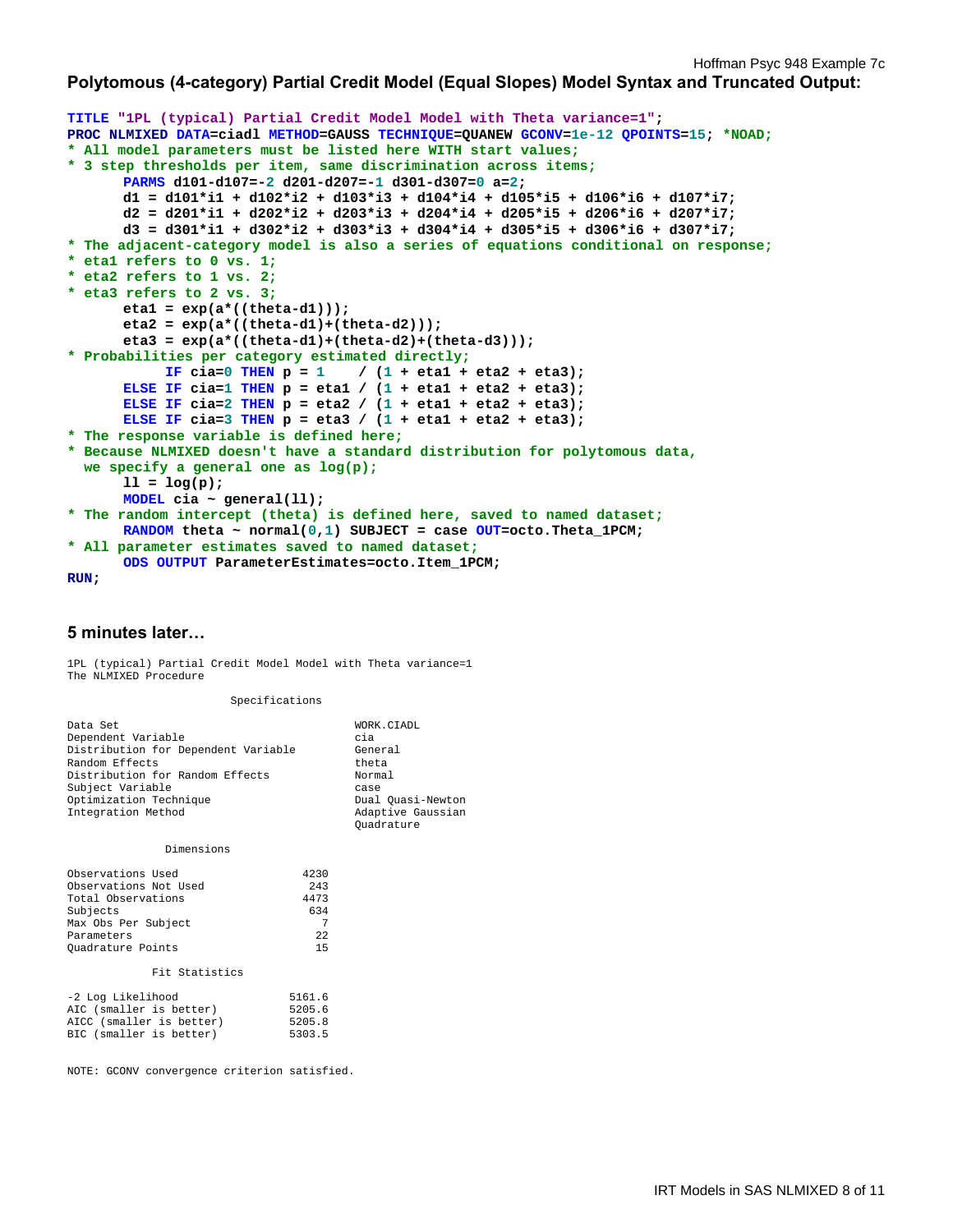## **Polytomous (4-category) Partial Credit Model (Equal Slopes) Model Syntax and Truncated Output:**

```
TITLE "1PL (typical) Partial Credit Model Model with Theta variance=1"; 
PROC NLMIXED DATA=ciadl METHOD=GAUSS TECHNIQUE=QUANEW GCONV=1e-12 QPOINTS=15; *NOAD;
* All model parameters must be listed here WITH start values;
* 3 step thresholds per item, same discrimination across items;
      PARMS d101-d107=-2 d201-d207=-1 d301-d307=0 a=2; 
       d1 = d101*i1 + d102*i2 + d103*i3 + d104*i4 + d105*i5 + d106*i6 + d107*i7; 
       d2 = d201*i1 + d202*i2 + d203*i3 + d204*i4 + d205*i5 + d206*i6 + d207*i7; 
       d3 = d301*i1 + d302*i2 + d303*i3 + d304*i4 + d305*i5 + d306*i6 + d307*i7; 
* The adjacent-category model is also a series of equations conditional on response;
* eta1 refers to 0 vs. 1;
* eta2 refers to 1 vs. 2;
* eta3 refers to 2 vs. 3;
       eta1 = exp(a*((theta-d1))); 
       eta2 = exp(a*((theta-d1)+(theta-d2))); 
       eta3 = exp(a*((theta-d1)+(theta-d2)+(theta-d3))); 
* Probabilities per category estimated directly;
           IF cia=0 THEN p = 1 / (1 + 1) eta(1 + 1) eta(2 + 1);
      ELSE IF cia=1 THEN p = eta1 / (1 + eta1 + eta2 + eta3); 
      ELSE IF cia=2 THEN p = eta2 / (1 + eta1 + eta2 + eta3); 
      ELSE IF cia=3 THEN p = eta3 / (1 + eta1 + eta2 + eta3); 
* The response variable is defined here; 
* Because NLMIXED doesn't have a standard distribution for polytomous data, 
   we specify a general one as log(p);
      11 = \log(p);
      MODEL cia ~ general(ll); 
* The random intercept (theta) is defined here, saved to named dataset;
      RANDOM theta ~ normal(0,1) SUBJECT = case OUT=octo.Theta_1PCM; 
* All parameter estimates saved to named dataset;
      ODS OUTPUT ParameterEstimates=octo.Item_1PCM;
```

```
RUN;
```
## **5 minutes later…**

1PL (typical) Partial Credit Model Model with Theta variance=1 The NLMIXED Procedure

Specifications

| Data Set                                     | WORK.CIADL                                           |
|----------------------------------------------|------------------------------------------------------|
| Dependent Variable                           | cia                                                  |
| Distribution for Dependent Variable          | General                                              |
| Random Effects                               | theta                                                |
| Distribution for Random Effects              | Normal                                               |
| Subject Variable                             | case                                                 |
| Optimization Technique<br>Integration Method | Dual Quasi-Newton<br>Adaptive Gaussian<br>Ouadrature |

Dimensions

#### Fit Statistics

| -2 Log Likelihood        | 5161.6 |
|--------------------------|--------|
| AIC (smaller is better)  | 5205.6 |
| AICC (smaller is better) | 5205.8 |
| BIC (smaller is better)  | 5303.5 |

NOTE: GCONV convergence criterion satisfied.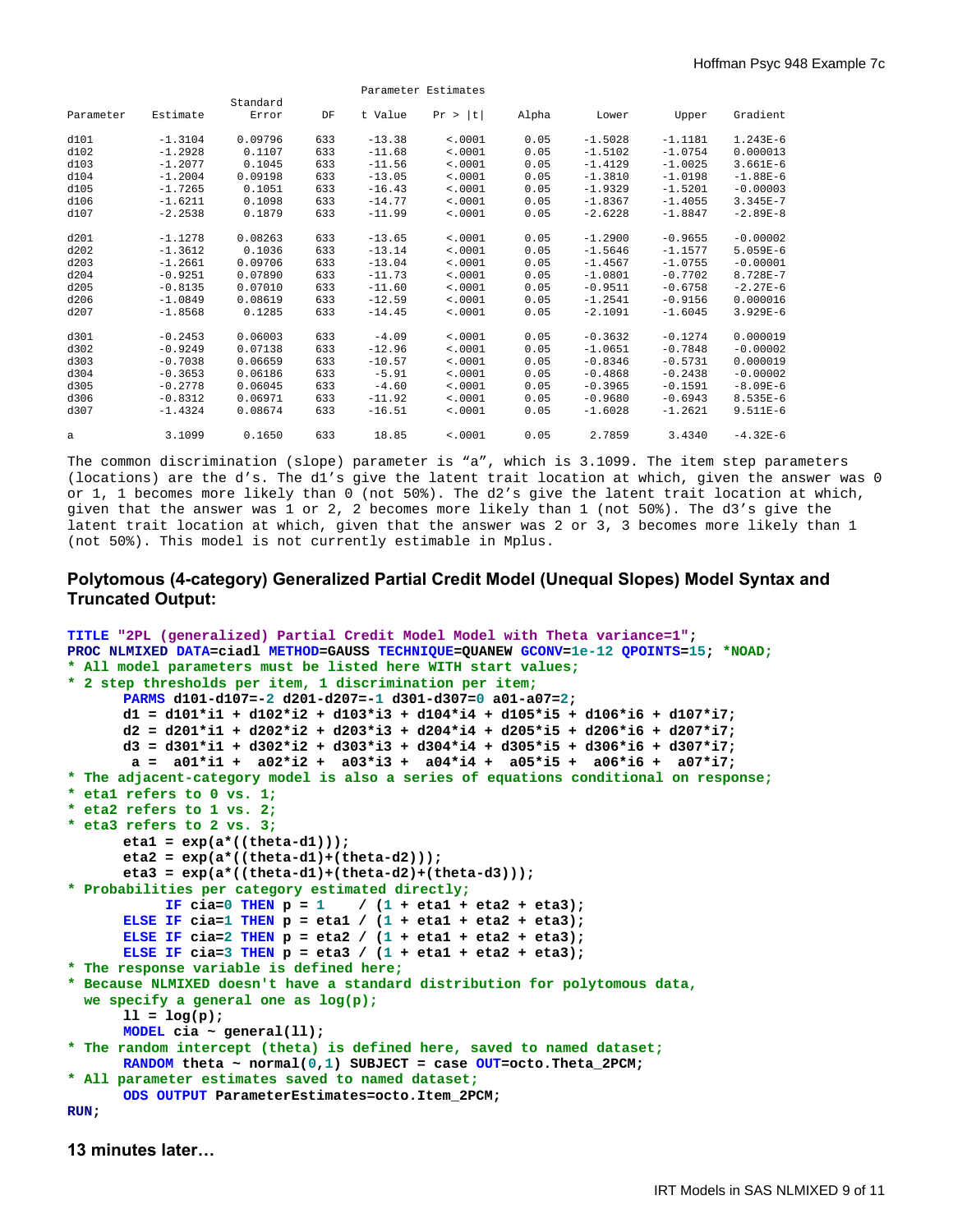|           |           |          |     |          | Parameter Estimates |       |           |           |              |
|-----------|-----------|----------|-----|----------|---------------------|-------|-----------|-----------|--------------|
|           |           | Standard |     |          |                     |       |           |           |              |
| Parameter | Estimate  | Error    | DF  | t Value  | Pr >  t             | Alpha | Lower     | Upper     | Gradient     |
| d101      | $-1.3104$ | 0.09796  | 633 | $-13.38$ | < .0001             | 0.05  | $-1.5028$ | $-1.1181$ | $1.243E-6$   |
| d102      | $-1.2928$ | 0.1107   | 633 | $-11.68$ | < .0001             | 0.05  | $-1.5102$ | $-1.0754$ | 0.000013     |
| d103      | $-1.2077$ | 0.1045   | 633 | $-11.56$ | < .0001             | 0.05  | $-1.4129$ | $-1.0025$ | $3.661E-6$   |
| d104      | $-1.2004$ | 0.09198  | 633 | $-13.05$ | < .0001             | 0.05  | $-1.3810$ | $-1.0198$ | $-1.88E-6$   |
| d105      | $-1.7265$ | 0.1051   | 633 | $-16.43$ | < .0001             | 0.05  | $-1.9329$ | $-1.5201$ | $-0.00003$   |
| d106      | $-1.6211$ | 0.1098   | 633 | $-14.77$ | < .0001             | 0.05  | $-1.8367$ | $-1.4055$ | $3.345E - 7$ |
| d107      | $-2.2538$ | 0.1879   | 633 | $-11.99$ | < .0001             | 0.05  | $-2.6228$ | $-1.8847$ | $-2.89E-8$   |
| d201      | $-1.1278$ | 0.08263  | 633 | $-13.65$ | < .0001             | 0.05  | $-1.2900$ | $-0.9655$ | $-0.00002$   |
| d202      | $-1.3612$ | 0.1036   | 633 | $-13.14$ | < .0001             | 0.05  | $-1.5646$ | $-1.1577$ | $5.059E-6$   |
| d203      | $-1.2661$ | 0.09706  | 633 | $-13.04$ | < .0001             | 0.05  | $-1.4567$ | $-1.0755$ | $-0.00001$   |
| d204      | $-0.9251$ | 0.07890  | 633 | $-11.73$ | < .0001             | 0.05  | $-1.0801$ | $-0.7702$ | 8.728E-7     |
| d205      | $-0.8135$ | 0.07010  | 633 | $-11.60$ | < .0001             | 0.05  | $-0.9511$ | $-0.6758$ | $-2.27E-6$   |
| d206      | $-1.0849$ | 0.08619  | 633 | $-12.59$ | < .0001             | 0.05  | $-1.2541$ | $-0.9156$ | 0.000016     |
| d207      | $-1.8568$ | 0.1285   | 633 | $-14.45$ | < .0001             | 0.05  | $-2.1091$ | $-1.6045$ | $3.929E-6$   |
| d301      | $-0.2453$ | 0.06003  | 633 | $-4.09$  | < .0001             | 0.05  | $-0.3632$ | $-0.1274$ | 0.000019     |
| d302      | $-0.9249$ | 0.07138  | 633 | $-12.96$ | < .0001             | 0.05  | $-1.0651$ | $-0.7848$ | $-0.00002$   |
| d303      | $-0.7038$ | 0.06659  | 633 | $-10.57$ | < .0001             | 0.05  | $-0.8346$ | $-0.5731$ | 0.000019     |
| d304      | $-0.3653$ | 0.06186  | 633 | $-5.91$  | < .0001             | 0.05  | $-0.4868$ | $-0.2438$ | $-0.00002$   |
| d305      | $-0.2778$ | 0.06045  | 633 | $-4.60$  | < .0001             | 0.05  | $-0.3965$ | $-0.1591$ | $-8.09E-6$   |
| d306      | $-0.8312$ | 0.06971  | 633 | $-11.92$ | < .0001             | 0.05  | $-0.9680$ | $-0.6943$ | $8.535E-6$   |
| d307      | $-1.4324$ | 0.08674  | 633 | $-16.51$ | < .0001             | 0.05  | $-1.6028$ | $-1.2621$ | $9.511E-6$   |
| a         | 3.1099    | 0.1650   | 633 | 18.85    | < .0001             | 0.05  | 2.7859    | 3.4340    | $-4.32E-6$   |

The common discrimination (slope) parameter is "a", which is 3.1099. The item step parameters (locations) are the d's. The d1's give the latent trait location at which, given the answer was 0 or 1, 1 becomes more likely than 0 (not 50%). The d2's give the latent trait location at which, given that the answer was 1 or 2, 2 becomes more likely than 1 (not 50%). The d3's give the latent trait location at which, given that the answer was 2 or 3, 3 becomes more likely than 1 (not 50%). This model is not currently estimable in Mplus.

## **Polytomous (4-category) Generalized Partial Credit Model (Unequal Slopes) Model Syntax and Truncated Output:**

```
TITLE "2PL (generalized) Partial Credit Model Model with Theta variance=1"; 
PROC NLMIXED DATA=ciadl METHOD=GAUSS TECHNIQUE=QUANEW GCONV=1e-12 QPOINTS=15; *NOAD;
* All model parameters must be listed here WITH start values;
* 2 step thresholds per item, 1 discrimination per item;
      PARMS d101-d107=-2 d201-d207=-1 d301-d307=0 a01-a07=2; 
       d1 = d101*i1 + d102*i2 + d103*i3 + d104*i4 + d105*i5 + d106*i6 + d107*i7; 
       d2 = d201*i1 + d202*i2 + d203*i3 + d204*i4 + d205*i5 + d206*i6 + d207*i7; 
       d3 = d301*i1 + d302*i2 + d303*i3 + d304*i4 + d305*i5 + d306*i6 + d307*i7; 
       a = a01*11 + a02*12 + a03*13 + a04*14 + a05*15 + a06*16 + a07*17;* The adjacent-category model is also a series of equations conditional on response;
* eta1 refers to 0 vs. 1;
* eta2 refers to 1 vs. 2;
* eta3 refers to 2 vs. 3;
       eta1 = exp(a*((theta-d1))); 
       eta2 = exp(a*((theta-d1)+(theta-d2))); 
       eta3 = exp(a*((theta-d1)+(theta-d2)+(theta-d3))); 
* Probabilities per category estimated directly;
           IF cia=0 THEN p = 1 / (1 + eta1 + eta2 + eta3);
      ELSE IF cia=1 THEN p = eta1 / (1 + eta1 + eta2 + eta3); 
      ELSE IF cia=2 THEN p = eta2 / (1 + eta1 + eta2 + eta3); 
      ELSE IF cia=3 THEN p = eta3 / (1 + eta1 + eta2 + eta3); 
* The response variable is defined here; 
* Because NLMIXED doesn't have a standard distribution for polytomous data, 
   we specify a general one as log(p);
      11 = \log(p);MODEL cia ~ general(ll); 
* The random intercept (theta) is defined here, saved to named dataset;
      RANDOM theta ~ normal(0,1) SUBJECT = case OUT=octo.Theta_2PCM; 
* All parameter estimates saved to named dataset;
      ODS OUTPUT ParameterEstimates=octo.Item_2PCM; 
RUN;
```
**13 minutes later…**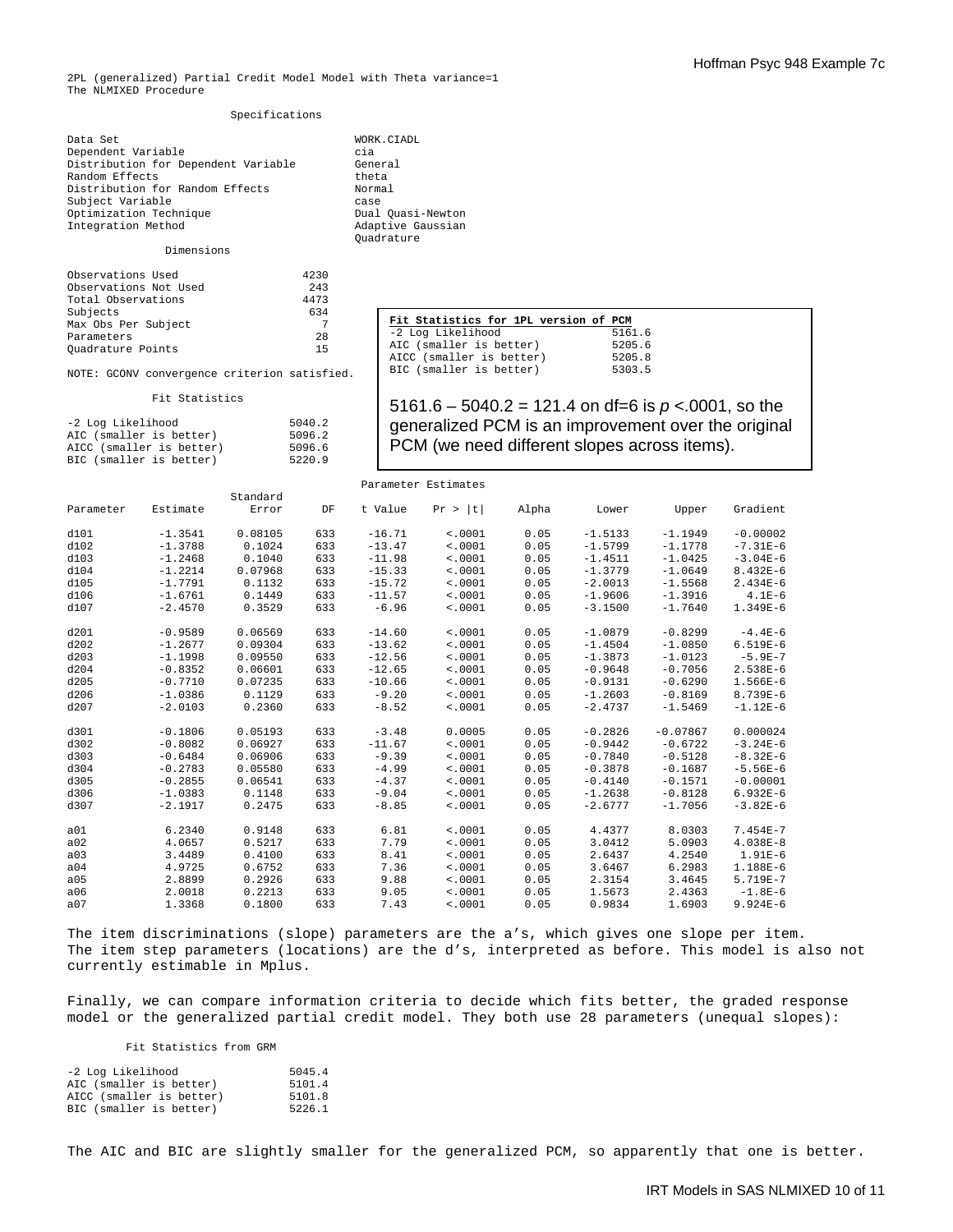2PL (generalized) Partial Credit Model Model with Theta variance=1 The NLMIXED Procedure

#### Specifications

Data Set WORK.CIADL Dependent Variable cia<br>Distribution for Dependent Variable Ceneral Distribution for Dependent Variable Gener<br>Random Effects theta Random Effects<br>Distribution for Random Effects (Normal Distribution for Random Effects Subject Variable<br>
Optimization Technique<br>
Cual Quasi-Newton Optimization Technique Dual Quasi-Newton Integration Method Adaptive Gaussian Integration Method

#### Dimensions

| Observations Used     | 4230 |
|-----------------------|------|
| Observations Not Used | 243  |
| Total Observations    | 4473 |
| Subjects              | 634  |
| Max Obs Per Subject   |      |
| Parameters            | 28   |
| Quadrature Points     | 15   |

BIC (smaller is better)

NOTE: GCONV convergence criterion satisfied. Fit Statistics -2 Log Likelihood 5040.2 AIC (smaller is better) 5096.2<br>AICC (smaller is better) 5096.6 AICC (smaller is better) 5096.6<br>BIC (smaller is better) 5220.9

Quadrature

#### **Fit Statistics for 1PL version of PCM**<br>-2 Log Likelihood 5161.6 -2 Log Likelihood 5161.6<br>AIC (smaller is better) 5205.6 AIC (smaller is better) 5205.6<br>AICC (smaller is better) 5205.8 AICC (smaller is better) 5205.8<br>BIC (smaller is better) 5303.5 BIC (smaller is better)

5161.6 – 5040.2 = 121.4 on df=6 is *p* <.0001, so the generalized PCM is an improvement over the original PCM (we need different slopes across items).

| Parameter Estimates |           |          |     |          |            |       |           |            |              |  |
|---------------------|-----------|----------|-----|----------|------------|-------|-----------|------------|--------------|--|
|                     | Estimate  | Standard |     |          |            |       |           |            | Gradient     |  |
| Parameter           |           | Error    | DF  | t Value  | t <br>Pr > | Alpha | Lower     | Upper      |              |  |
| d101                | $-1.3541$ | 0.08105  | 633 | $-16.71$ | < .0001    | 0.05  | $-1.5133$ | $-1.1949$  | $-0.00002$   |  |
| d102                | $-1.3788$ | 0.1024   | 633 | $-13.47$ | < .0001    | 0.05  | $-1.5799$ | $-1.1778$  | $-7.31E-6$   |  |
| d103                | $-1.2468$ | 0.1040   | 633 | $-11.98$ | < .0001    | 0.05  | $-1.4511$ | $-1.0425$  | $-3.04E-6$   |  |
| d104                | $-1.2214$ | 0.07968  | 633 | $-15.33$ | < .0001    | 0.05  | $-1.3779$ | $-1.0649$  | $8.432E-6$   |  |
| d105                | $-1.7791$ | 0.1132   | 633 | $-15.72$ | < .0001    | 0.05  | $-2.0013$ | $-1.5568$  | $2.434E-6$   |  |
| d106                | $-1.6761$ | 0.1449   | 633 | $-11.57$ | < .0001    | 0.05  | $-1.9606$ | $-1.3916$  | $4.1E-6$     |  |
| d107                | $-2.4570$ | 0.3529   | 633 | $-6.96$  | < .0001    | 0.05  | $-3.1500$ | $-1.7640$  | $1.349E-6$   |  |
| d201                | $-0.9589$ | 0.06569  | 633 | $-14.60$ | < .0001    | 0.05  | $-1.0879$ | $-0.8299$  | $-4.4E-6$    |  |
| d202                | $-1.2677$ | 0.09304  | 633 | $-13.62$ | < 0001     | 0.05  | $-1.4504$ | $-1.0850$  | $6.519E-6$   |  |
| d203                | $-1.1998$ | 0.09550  | 633 | $-12.56$ | < .0001    | 0.05  | $-1.3873$ | $-1.0123$  | $-5.9E-7$    |  |
| d204                | $-0.8352$ | 0.06601  | 633 | $-12.65$ | < .0001    | 0.05  | $-0.9648$ | $-0.7056$  | $2.538E-6$   |  |
| d205                | $-0.7710$ | 0.07235  | 633 | $-10.66$ | < .0001    | 0.05  | $-0.9131$ | $-0.6290$  | $1.566E-6$   |  |
| d206                | $-1.0386$ | 0.1129   | 633 | $-9.20$  | < .0001    | 0.05  | $-1.2603$ | $-0.8169$  | $8.739E - 6$ |  |
| d207                | $-2.0103$ | 0.2360   | 633 | $-8.52$  | < .0001    | 0.05  | $-2.4737$ | $-1.5469$  | $-1.12E-6$   |  |
| d301                | $-0.1806$ | 0.05193  | 633 | $-3.48$  | 0.0005     | 0.05  | $-0.2826$ | $-0.07867$ | 0.000024     |  |
| d302                | $-0.8082$ | 0.06927  | 633 | $-11.67$ | < .0001    | 0.05  | $-0.9442$ | $-0.6722$  | $-3.24E-6$   |  |
| d303                | $-0.6484$ | 0.06906  | 633 | $-9.39$  | < .0001    | 0.05  | $-0.7840$ | $-0.5128$  | $-8.32E-6$   |  |
| d304                | $-0.2783$ | 0.05580  | 633 | $-4.99$  | < .0001    | 0.05  | $-0.3878$ | $-0.1687$  | $-5.56E-6$   |  |
| d305                | $-0.2855$ | 0.06541  | 633 | $-4.37$  | < .0001    | 0.05  | $-0.4140$ | $-0.1571$  | $-0.00001$   |  |
| d306                | $-1.0383$ | 0.1148   | 633 | $-9.04$  | < .0001    | 0.05  | $-1.2638$ | $-0.8128$  | $6.932E-6$   |  |
| d307                | $-2.1917$ | 0.2475   | 633 | $-8.85$  | < .0001    | 0.05  | $-2.6777$ | $-1.7056$  | $-3.82E-6$   |  |
| a01                 | 6.2340    | 0.9148   | 633 | 6.81     | < .0001    | 0.05  | 4.4377    | 8.0303     | $7.454E - 7$ |  |
| a02                 | 4.0657    | 0.5217   | 633 | 7.79     | < .0001    | 0.05  | 3.0412    | 5.0903     | $4.038E - 8$ |  |
| a03                 | 3.4489    | 0.4100   | 633 | 8.41     | < .0001    | 0.05  | 2.6437    | 4.2540     | $1.91E-6$    |  |
| a04                 | 4.9725    | 0.6752   | 633 | 7.36     | < .0001    | 0.05  | 3.6467    | 6.2983     | 1.188E-6     |  |
| a05                 | 2.8899    | 0.2926   | 633 | 9.88     | < .0001    | 0.05  | 2.3154    | 3.4645     | 5.719E-7     |  |
| a06                 | 2.0018    | 0.2213   | 633 | 9.05     | < .0001    | 0.05  | 1.5673    | 2.4363     | $-1.8E-6$    |  |
| a07                 | 1.3368    | 0.1800   | 633 | 7.43     | < .0001    | 0.05  | 0.9834    | 1.6903     | $9.924E-6$   |  |

The item discriminations (slope) parameters are the a's, which gives one slope per item. The item step parameters (locations) are the d's, interpreted as before. This model is also not currently estimable in Mplus.

Finally, we can compare information criteria to decide which fits better, the graded response model or the generalized partial credit model. They both use 28 parameters (unequal slopes):

Fit Statistics from GRM

| -2 Log Likelihood        | 5045.4 |
|--------------------------|--------|
| AIC (smaller is better)  | 5101.4 |
| AICC (smaller is better) | 5101.8 |
| BIC (smaller is better)  | 5226.1 |

The AIC and BIC are slightly smaller for the generalized PCM, so apparently that one is better.